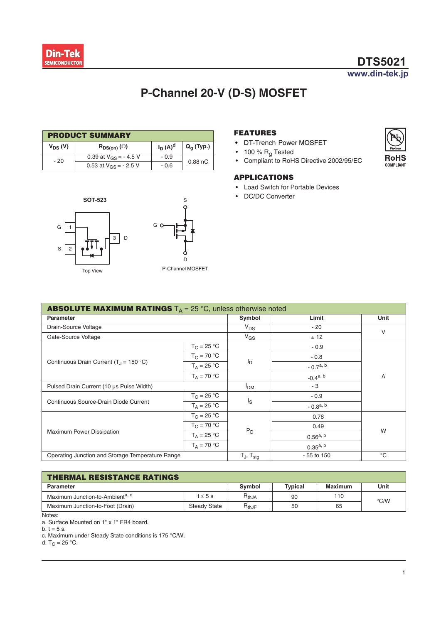$G$ 

s [

2

1

**SOT-523** 

Top View

# **P-Channel 20-V (D-S) MOSFET**

S

D P-Channel MOSFET

G O

| <b>PRODUCT SUMMARY</b> |                            |            |                     |  |  |  |
|------------------------|----------------------------|------------|---------------------|--|--|--|
| V <sub>DS</sub> (V)    | $R_{DS(on)}(\Omega)$       | $I_D(A)^d$ | $Q_q$ (Typ.)        |  |  |  |
| $-20$                  | 0.39 at $V_{GS}$ = - 4.5 V | $-0.9$     |                     |  |  |  |
|                        | 0.53 at $V_{GS}$ = - 2.5 V | $-0.6$     | 0.88 <sub>n</sub> C |  |  |  |

D 3



- **•** DT-Trench Power MOSFET
- 100 %  $R_q$  Tested
- Compliant to RoHS Directive 2002/95/EC

### **APPLICATIONS**

- Load Switch for Portable Devices
- DC/DC Converter

| <b>ABSOLUTE MAXIMUM RATINGS</b> $T_A = 25 \degree C$ , unless otherwise noted |                                   |                |               |   |  |
|-------------------------------------------------------------------------------|-----------------------------------|----------------|---------------|---|--|
| Parameter                                                                     | Symbol                            | Limit          | Unit          |   |  |
| Drain-Source Voltage                                                          |                                   | $V_{DS}$       | $-20$         | V |  |
| Gate-Source Voltage                                                           |                                   | $V_{GS}$       | ± 12          |   |  |
|                                                                               | $T_C = 25 °C$                     |                | $-0.9$        |   |  |
|                                                                               | $T_C = 70 °C$                     |                | $-0.8$        | Α |  |
| Continuous Drain Current ( $T_{\text{J}}$ = 150 °C)                           | $T_A = 25 °C$                     | l <sub>D</sub> | $-0.7a, b$    |   |  |
|                                                                               | $T_A = 70 °C$                     |                | $-0.4^{a, b}$ |   |  |
| Pulsed Drain Current (10 µs Pulse Width)                                      | I <sub>DM</sub>                   | - 3            |               |   |  |
|                                                                               | $T_C = 25 °C$                     | Is             | $-0.9$        |   |  |
| Continuous Source-Drain Diode Current                                         | $T_A = 25 °C$                     |                | $-0.8a, b$    |   |  |
|                                                                               | $T_C = 25 °C$                     |                | 0.78          |   |  |
|                                                                               | $T_C = 70 °C$                     | $P_D$          | 0.49          |   |  |
| Maximum Power Dissipation                                                     | $T_A = 25 °C$                     |                | $0.56^{a, b}$ | W |  |
|                                                                               | $T_A = 70 °C$                     |                | $0.35^{a, b}$ |   |  |
| Operating Junction and Storage Temperature Range                              | $T_{\text{J}}$ , $T_{\text{sta}}$ | $-55$ to 150   | $^{\circ}C$   |   |  |

| <b>THERMAL RESISTANCE RATINGS</b>           |                     |               |                |                |               |  |
|---------------------------------------------|---------------------|---------------|----------------|----------------|---------------|--|
| <b>Parameter</b>                            |                     | <b>Symbol</b> | <b>Typical</b> | <b>Maximum</b> | Unit          |  |
| Maximum Junction-to-Ambient <sup>a, c</sup> | $t \leq 5$ s        | $R_{thJA}$    | 90             | 110            | $\degree$ C/W |  |
| Maximum Junction-to-Foot (Drain)            | <b>Steady State</b> | $R_{thJF}$    | 50             | 65             |               |  |

Notes:

a. Surface Mounted on 1" x 1" FR4 board.

b.  $t = 5$  s.

c. Maximum under Steady State conditions is 175 °C/W.

d.  $T_C = 25 °C$ .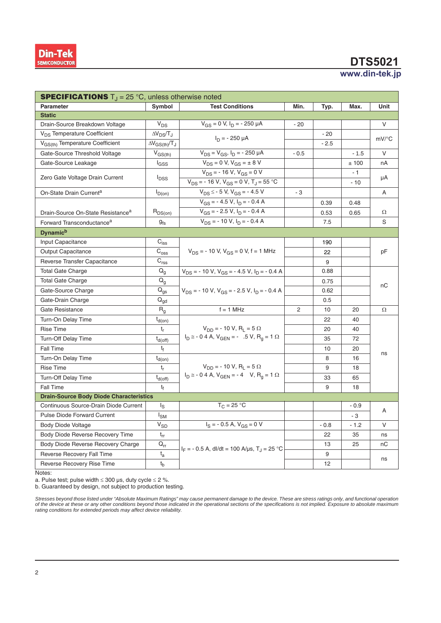# **DTS5021**

### www.din-tek.jp

| <b>SPECIFICATIONS</b> $T_{\text{I}} = 25 \degree C$ , unless otherwise noted |                                                                                        |                                                                        |        |        |        |                     |  |
|------------------------------------------------------------------------------|----------------------------------------------------------------------------------------|------------------------------------------------------------------------|--------|--------|--------|---------------------|--|
| <b>Parameter</b>                                                             | Symbol                                                                                 | <b>Test Conditions</b>                                                 | Min.   | Typ.   | Max.   | Unit                |  |
| <b>Static</b>                                                                |                                                                                        |                                                                        |        |        |        |                     |  |
| Drain-Source Breakdown Voltage                                               | $\mathsf{V}_{\mathsf{DS}}$                                                             | $V_{GS} = 0$ V, $I_D = -250$ $\mu$ A                                   | - 20   |        |        | V                   |  |
| V <sub>DS</sub> Temperature Coefficient                                      | $\Delta V_{DS}/T_J$                                                                    | $I_D = -250 \mu A$                                                     |        | $-20$  |        | $mV$ <sup>o</sup> C |  |
| V <sub>GS(th)</sub> Temperature Coefficient                                  | $\Delta V_{GS(th)}/T_J$                                                                |                                                                        |        | $-2.5$ |        |                     |  |
| Gate-Source Threshold Voltage                                                | $V_{GS(th)}$                                                                           | $V_{DS} = V_{GS}$ , $I_D = -250 \mu A$                                 | $-0.5$ |        | $-1.5$ | $\vee$              |  |
| Gate-Source Leakage                                                          | l <sub>GSS</sub>                                                                       | $V_{DS} = 0 V, V_{GS} = \pm 8 V$                                       |        |        | ±100   | nA                  |  |
|                                                                              |                                                                                        | $V_{DS}$ = - 16 V, V <sub>GS</sub> = 0 V                               |        |        | - 1    |                     |  |
| Zero Gate Voltage Drain Current                                              | <b>I</b> <sub>DSS</sub>                                                                | $V_{DS}$ = - 16 V, V <sub>GS</sub> = 0 V, T <sub>J</sub> = 55 °C       |        |        | $-10$  | μA                  |  |
| On-State Drain Current <sup>a</sup>                                          | $I_{D(0n)}$                                                                            | $V_{DS} \le -5$ V, $V_{GS} = -4.5$ V                                   | - 3    |        |        | A                   |  |
|                                                                              |                                                                                        | $V_{GS}$ = - 4.5 V, $I_D$ = - 0.4 A                                    |        | 0.39   | 0.48   |                     |  |
| Drain-Source On-State Resistance <sup>a</sup>                                | $R_{DS(on)}$                                                                           | $V_{GS}$ = - 2.5 V, $I_D$ = - 0.4 A                                    |        | 0.53   | 0.65   | Ω                   |  |
| Forward Transconductance <sup>a</sup>                                        | $g_{fs}$                                                                               | $V_{DS}$ = - 10 V, $I_D$ = - 0.4 A                                     |        | 7.5    |        | S                   |  |
| <b>Dynamich</b>                                                              |                                                                                        |                                                                        |        |        |        |                     |  |
| Input Capacitance                                                            | $C_{\text{iss}}$                                                                       |                                                                        |        | 190    |        |                     |  |
| Output Capacitance                                                           | $C_{\rm{oss}}$                                                                         | $V_{DS}$ = - 10 V, $V_{GS}$ = 0 V, f = 1 MHz                           |        | 22     |        | рF                  |  |
| Reverse Transfer Capacitance                                                 | C <sub>rss</sub>                                                                       |                                                                        |        | 9      |        |                     |  |
| <b>Total Gate Charge</b>                                                     | $\mathsf{Q}_{\mathsf{g}}$                                                              | $V_{DS}$ = - 10 V, V <sub>GS</sub> = - 4.5 V, I <sub>D</sub> = - 0.4 A |        | 0.88   |        |                     |  |
| <b>Total Gate Charge</b>                                                     | $Q_{\alpha}$                                                                           |                                                                        |        | 0.75   |        |                     |  |
| Gate-Source Charge                                                           | $\mathsf{Q}_{\mathsf{gs}}$                                                             | $V_{DS}$ = - 10 V, V <sub>GS</sub> = - 2.5 V, I <sub>D</sub> = - 0.4 A |        | 0.62   |        | пC                  |  |
| Gate-Drain Charge                                                            | $\mathsf{Q}_{\mathsf{gd}}$                                                             |                                                                        |        | 0.5    |        |                     |  |
| Gate Resistance                                                              | $R_{q}$                                                                                | $f = 1$ MHz                                                            | 2      | 10     | 20     | Ω                   |  |
| Turn-On Delay Time                                                           | t <sub>d(on)</sub>                                                                     |                                                                        |        | 22     | 40     |                     |  |
| <b>Rise Time</b>                                                             | $t_r$                                                                                  | $V_{DD}$ = - 10 V, R <sub>1</sub> = 5 $\Omega$                         |        | 20     | 40     |                     |  |
| Turn-Off Delay Time                                                          | $t_{d(off)}$                                                                           | $I_D \approx -0.4$ A, $V_{GEN} = -0.5$ V, $R_q = 1$ $\Omega$           |        | 35     | 72     |                     |  |
| <b>Fall Time</b>                                                             | $t_{\rm f}$                                                                            |                                                                        |        | 10     | 20     |                     |  |
| Turn-On Delay Time                                                           | $t_{d(on)}$                                                                            |                                                                        |        | 8      | 16     | ns                  |  |
| <b>Rise Time</b>                                                             | t,                                                                                     | $V_{DD}$ = - 10 V, R <sub>I</sub> = 5 $\Omega$                         |        | 9      | 18     |                     |  |
| <b>Turn-Off Delay Time</b>                                                   | $t_{d(\text{off})}$                                                                    | $I_D \cong -0.4$ A, $V_{GEN} = -4$ V, $R_q = 1$ $\Omega$               |        | 33     | 65     |                     |  |
| Fall Time                                                                    | t <sub>f</sub>                                                                         |                                                                        |        | 9      | 18     |                     |  |
| <b>Drain-Source Body Diode Characteristics</b>                               |                                                                                        |                                                                        |        |        |        |                     |  |
| Continuous Source-Drain Diode Current                                        | l <sub>S</sub>                                                                         | $T_C = 25 °C$                                                          |        |        | $-0.9$ | A                   |  |
| <b>Pulse Diode Forward Current</b>                                           | I <sub>SM</sub>                                                                        |                                                                        |        |        | $-3$   |                     |  |
| <b>Body Diode Voltage</b>                                                    | <b>V<sub>SD</sub></b>                                                                  | $I_S = -0.5 A$ , $V_{GS} = 0 V$                                        |        | $-0.8$ | $-1.2$ | $\vee$              |  |
| Body Diode Reverse Recovery Time                                             | $t_{rr}$                                                                               |                                                                        |        | 22     | 35     | ns                  |  |
| Body Diode Reverse Recovery Charge                                           | $\mathsf{Q}_{\mathsf{rr}}$<br>$I_F = -0.5$ A, dl/dt = 100 A/µs, T <sub>J</sub> = 25 °C |                                                                        |        | 13     | 25     | nC                  |  |
| Reverse Recovery Fall Time                                                   | $t_a$                                                                                  |                                                                        |        | 9      |        |                     |  |
| Reverse Recovery Rise Time                                                   | $t_{b}$                                                                                |                                                                        |        | 12     |        | ns                  |  |

Notes:

a. Pulse test; pulse width  $\leq 300$  μs, duty cycle  $\leq 2$  %.

b. Guaranteed by design, not subject to production testing.

Stresses beyond those listed under "Absolute Maximum Ratings" may cause permanent damage to the device. These are stress ratings only, and functional operatior<br>of the device at these or any other conditions beyond those in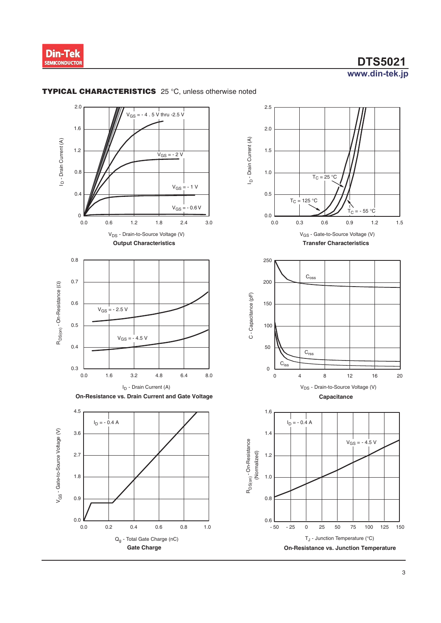



**Gate Charge**

0.0 0.2 0.4 0.6 0.8 1.0

Qg - Total Gate Charge (nC)

0.0

### **TYPICAL CHARACTERISTICS** 25 °C, unless otherwise noted

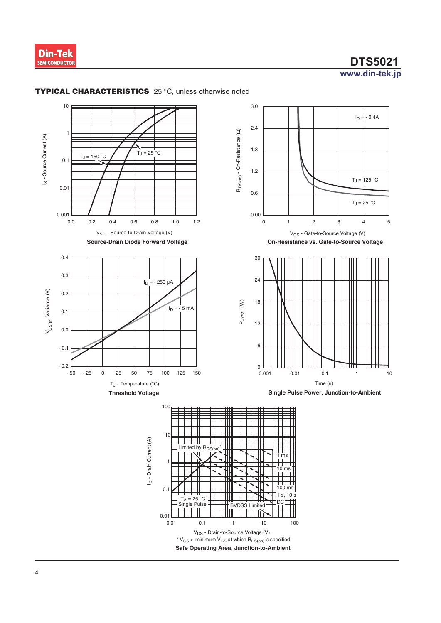



#### **TYPICAL CHARACTERISTICS** 25 °C, unless otherwise noted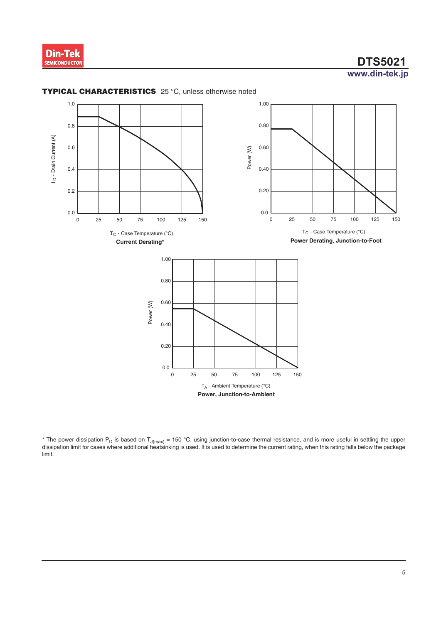



### **TYPICAL CHARACTERISTICS** 25 °C, unless otherwise noted

\* The power dissipation P<sub>D</sub> is based on T<sub>J(max)</sub> = 150 °C, using junction-to-case thermal resistance, and is more useful in settling the upper dissipation limit for cases where additional heatsinking is used. It is used to determine the current rating, when this rating falls below the package limit.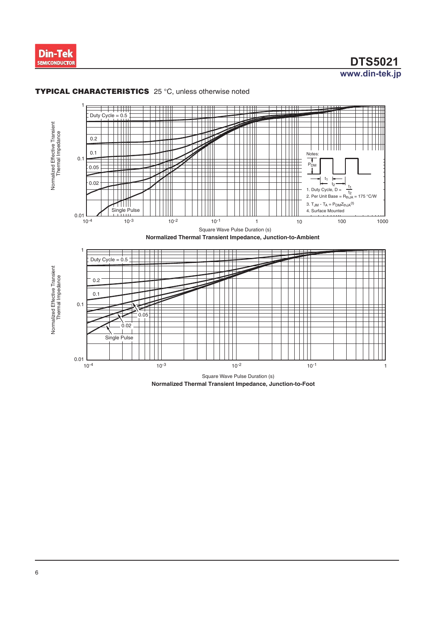



#### **TYPICAL CHARACTERISTICS** 25 °C, unless otherwise noted

**Normalized Thermal Transient Impedance, Junction-to-Foot**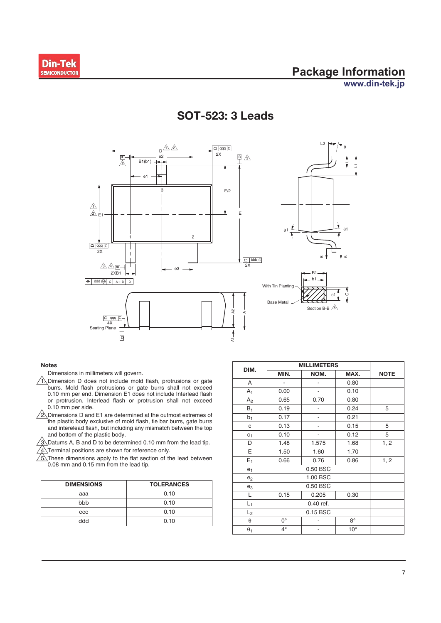

 $\overline{\phantom{0}}$ L1



### **S**05**: 3 Leads**

#### **Notes**

Dimensions in millimeters will govern.

- $\sqrt{1}$ . Dimension D does not include mold flash, protrusions or gate burrs. Mold flash protrusions or gate burrs shall not exceed 0.10 mm per end. Dimension E1 does not include Interlead flash or protrusion. Interlead flash or protrusion shall not exceed 0.10 mm per side.
- $\sqrt{2}$ . Dimensions D and E1 are determined at the outmost extremes of the plastic body exclusive of mold flash, tie bar burrs, gate burrs and interelead flash, but including any mismatch between the top and bottom of the plastic body.

 $\sqrt{3}$  Datums A, B and D to be determined 0.10 mm from the lead tip.

 $\sqrt{4}$ . Terminal positions are shown for reference only.

 $\sqrt{\frac{1}{5}}$ These dimensions apply to the flat section of the lead between 0.08 mm and 0.15 mm from the lead tip.

| <b>DIMENSIONS</b> | <b>TOLERANCES</b> |  |  |
|-------------------|-------------------|--|--|
| aaa               | 0.10              |  |  |
| bbb               | 0.10              |  |  |
| CCC               | 0.10              |  |  |
| ddd               | 0.10              |  |  |

| DIM.           | <b>MILLIMETERS</b> |                          |              |             |
|----------------|--------------------|--------------------------|--------------|-------------|
|                | MIN.               | NOM.                     | MAX.         | <b>NOTE</b> |
| Α              | -                  |                          | 0.80         |             |
| $A_1$          | 0.00               | $\overline{\phantom{a}}$ | 0.10         |             |
| A <sub>2</sub> | 0.65               | 0.70                     | 0.80         |             |
| $B_1$          | 0.19               |                          | 0.24         | 5           |
| b <sub>1</sub> | 0.17               |                          | 0.21         |             |
| c              | 0.13               |                          | 0.15         | 5           |
| C <sub>1</sub> | 0.10               |                          | 0.12         | 5           |
| D              | 1.48               | 1.575                    | 1.68         | 1, 2        |
| Е              | 1.50               | 1.60                     | 1.70         |             |
| $E_1$          | 0.66               | 0.76                     | 0.86         | 1, 2        |
| e <sub>1</sub> |                    |                          |              |             |
| e <sub>2</sub> |                    |                          |              |             |
| $e_3$          | 0.50 BSC           |                          |              |             |
| L              | 0.15               | 0.205                    | 0.30         |             |
| $L_1$          | 0.40 ref.          |                          |              |             |
| $L_2$          | 0.15 BSC           |                          |              |             |
| $\theta$       | $0^{\circ}$        |                          | $8^\circ$    |             |
| $\theta_1$     | $4^\circ$          |                          | $10^{\circ}$ |             |

 $\mathbf{c}$ 

 $\alpha$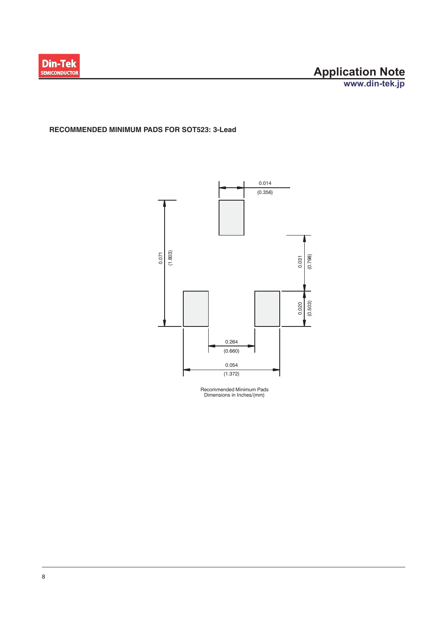

### **RECOMMENDED MINIMUM PADS FOR SOT523: 3-Lead**



Recommended Minimum Pads Dimensions in Inches/(mm)